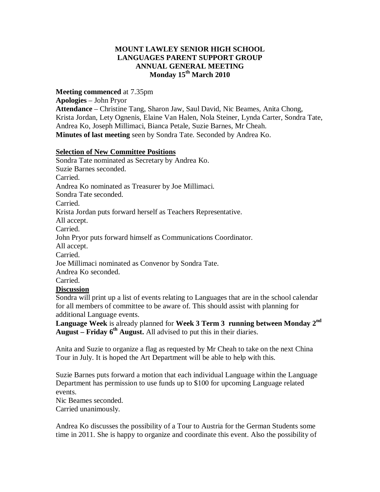## **MOUNT LAWLEY SENIOR HIGH SCHOOL LANGUAGES PARENT SUPPORT GROUP ANNUAL GENERAL MEETING Monday 15th March 2010**

**Meeting commenced** at 7.35pm

**Apologies** – John Pryor

**Attendance** – Christine Tang, Sharon Jaw, Saul David, Nic Beames, Anita Chong, Krista Jordan, Lety Ognenis, Elaine Van Halen, Nola Steiner, Lynda Carter, Sondra Tate, Andrea Ko, Joseph Millimaci, Bianca Petale, Suzie Barnes, Mr Cheah. **Minutes of last meeting** seen by Sondra Tate. Seconded by Andrea Ko.

## **Selection of New Committee Positions**

Sondra Tate nominated as Secretary by Andrea Ko. Suzie Barnes seconded. Carried. Andrea Ko nominated as Treasurer by Joe Millimaci. Sondra Tate seconded. Carried. Krista Jordan puts forward herself as Teachers Representative. All accept. Carried. John Pryor puts forward himself as Communications Coordinator. All accept. Carried. Joe Millimaci nominated as Convenor by Sondra Tate. Andrea Ko seconded. Carried. **Discussion** Sondra will print up a list of events relating to Languages that are in the school calendar for all members of committee to be aware of. This should assist with planning for

additional Language events. **Language Week** is already planned for **Week 3 Term 3 running between Monday 2nd**

**August – Friday 6th August.** All advised to put this in their diaries.

Anita and Suzie to organize a flag as requested by Mr Cheah to take on the next China Tour in July. It is hoped the Art Department will be able to help with this.

Suzie Barnes puts forward a motion that each individual Language within the Language Department has permission to use funds up to \$100 for upcoming Language related events.

Nic Beames seconded.

Carried unanimously.

Andrea Ko discusses the possibility of a Tour to Austria for the German Students some time in 2011. She is happy to organize and coordinate this event. Also the possibility of